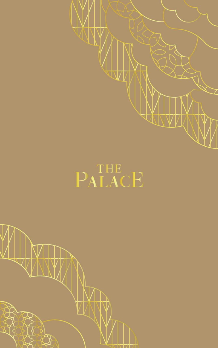

**445** 

M

WWW

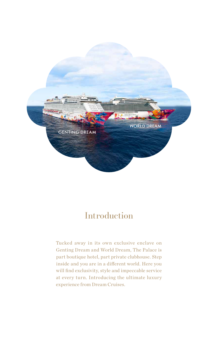

## Introduction

Tucked away in its own exclusive enclave on Genting Dream and World Dream, The Palace is part boutique hotel, part private clubhouse. Step inside and you are in a different world. Here you will find exclusivity, style and impeccable service at every turn. Introducing the ultimate luxury experience from Dream Cruises.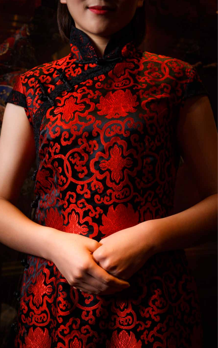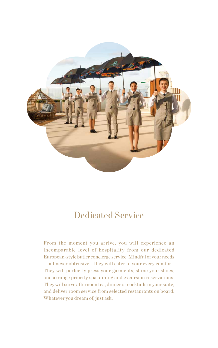

### Dedicated Service

From the moment you arrive, you will experience an incomparable level of hospitality from our dedicated European-style butler concierge service. Mindful of your needs – but never obtrusive – they will cater to your every comfort. They will perfectly press your garments, shine your shoes, and arrange priority spa, dining and excursion reservations. They will serve afternoon tea, dinner or cocktails in your suite, and deliver room service from selected restaurants on board. Whatever you dream of, just ask.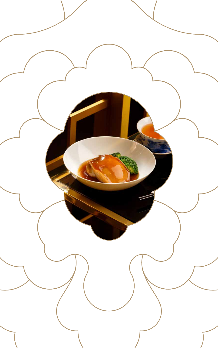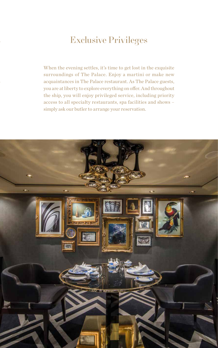## Exclusive Privileges

When the evening settles, it's time to get lost in the exquisite surroundings of The Palace. Enjoy a martini or make new acquaintances in The Palace restaurant. As The Palace guests, you are at liberty to explore everything on offer. And throughout the ship, you will enjoy privileged service, including priority access to all specialty restaurants, spa facilities and shows – simply ask our butler to arrange your reservation.

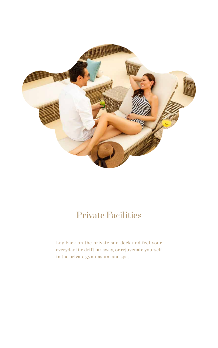

# Private Facilities

Lay back on the private sun deck and feel your everyday life drift far away, or rejuvenate yourself in the private gymnasium and spa.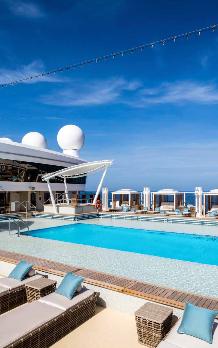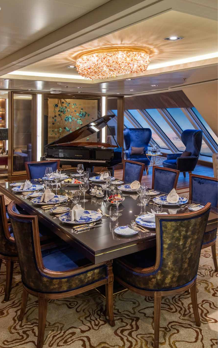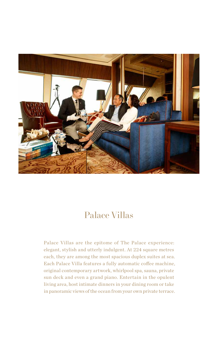

### Palace Villas

Palace Villas are the epitome of The Palace experience: elegant, stylish and utterly indulgent. At 224 square metres each, they are among the most spacious duplex suites at sea. Each Palace Villa features a fully automatic coffee machine, original contemporary artwork, whirlpool spa, sauna, private sun deck and even a grand piano. Entertain in the opulent living area, host intimate dinners in your dining room or take in panoramic views of the ocean from your own private terrace.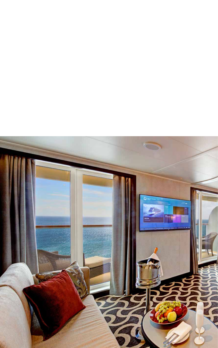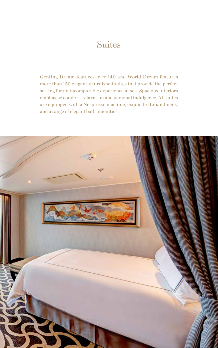#### **Suites**

Genting Dream features over 140 and World Dream features more than 150 elegantly furnished suites that provide the perfect setting for an incomparable experience at sea. Spacious interiors emphasise comfort, relaxation and personal indulgence. All suites are equipped with a Nespresso machine, exquisite Italian linens, and a range of elegant bath amenities.

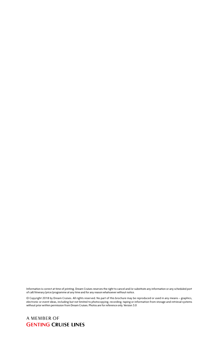Information is correct at time of printing. Dream Cruises reserves the right to cancel and/or substitute any information or any scheduled port of call/itinerary/price/programme at any time and for any reason whatsoever without notice.

© Copyright 2018 by Dream Cruises. All rights reserved. No part of this brochure may be reproduced or used in any means – graphics,<br>electronic or event ideas, including but not limited to photocopying, recording, taping or

A MEMBER OF **GENTING CRUISE LINES**